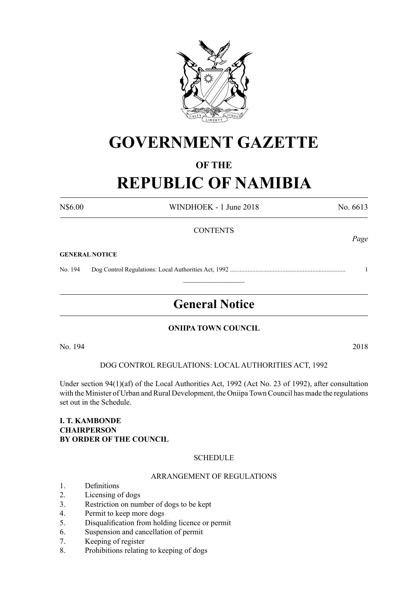

# **GOVERNMENT GAZETTE**

# **OF THE**

# **REPUBLIC OF NAMIBIA**

N\$6.00 WINDHOEK - 1 June 2018 No. 6613

*Page*

# **CONTENTS**

#### **GENERAL NOTICE**

No. 194 Dog Control Regulations: Local Authorities Act, 1992 ......................................................................... 1

# **General Notice**

 $\frac{1}{2}$ 

# **ONIIPA TOWN COUNCIL**

No. 194 2018

DOG CONTROL REGULATIONS: LOCAL AUTHORITIES ACT, 1992

Under section 94(1)(af) of the Local Authorities Act, 1992 (Act No. 23 of 1992), after consultation with the Minister of Urban and Rural Development, the Oniipa TownCouncil has made the regulations set out in the Schedule.

# **I. T. Kambonde Chairperson BY ORDER OF THE COUNCIL**

# **SCHEDULE**

# ARRANGEMENT OF REGULATIONS

- 1. Definitions
- 2. Licensing of dogs
- 3. Restriction on number of dogs to be kept
- 4. Permit to keep more dogs
- 5. Disqualification from holding licence or permit
- 6. Suspension and cancellation of permit
- 7. Keeping of register
- 8. Prohibitions relating to keeping of dogs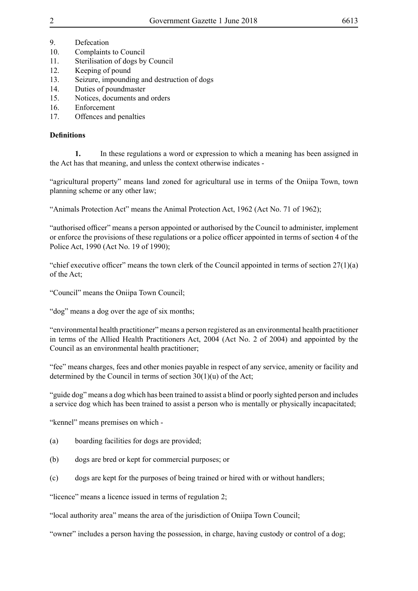- 9. Defecation
- 10. Complaints to Council
- 11. Sterilisation of dogs by Council
- 12. Keeping of pound
- 13. Seizure, impounding and destruction of dogs
- 14. Duties of poundmaster
- 15. Notices, documents and orders
- 16. Enforcement
- 17. Offences and penalties

# **Definitions**

**1.** In these regulations a word or expression to which a meaning has been assigned in the Act has that meaning, and unless the context otherwise indicates -

"agricultural property" means land zoned for agricultural use in terms of the Oniipa Town, town planning scheme or any other law;

"Animals Protection Act" means the Animal Protection Act, 1962 (Act No. 71 of 1962);

"authorised officer" means a person appointed or authorised by the Council to administer, implement or enforce the provisions of these regulations or a police officer appointed in terms of section 4 of the Police Act, 1990 (Act No. 19 of 1990);

"chief executive officer" means the town clerk of the Council appointed in terms of section  $27(1)(a)$ of the Act;

"Council" means the Oniipa Town Council;

"dog" means a dog over the age of six months;

"environmental health practitioner" means a person registered as an environmental health practitioner in terms of the Allied Health Practitioners Act, 2004 (Act No. 2 of 2004) and appointed by the Council as an environmental health practitioner;

"fee" means charges, fees and other monies payable in respect of any service, amenity or facility and determined by the Council in terms of section 30(1)(u) of the Act;

"guide dog" means a dog which has been trained to assist a blind or poorly sighted person and includes a service dog which has been trained to assist a person who is mentally or physically incapacitated;

"kennel" means premises on which -

- (a) boarding facilities for dogs are provided;
- (b) dogs are bred or kept for commercial purposes; or
- (c) dogs are kept for the purposes of being trained or hired with or without handlers;

"licence" means a licence issued in terms of regulation 2;

"local authority area" means the area of the jurisdiction of Oniipa Town Council;

"owner" includes a person having the possession, in charge, having custody or control of a dog;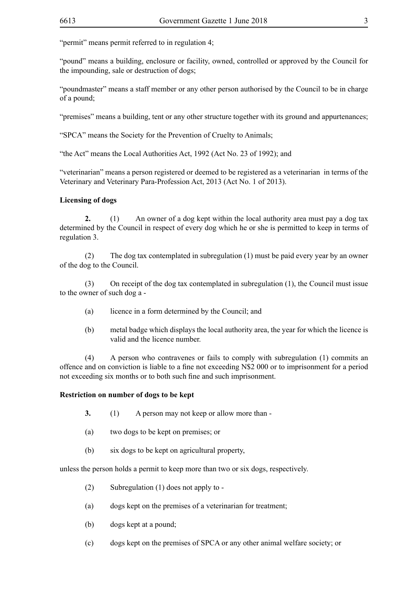"permit" means permit referred to in regulation 4;

"pound" means a building, enclosure or facility, owned, controlled or approved by the Council for the impounding, sale or destruction of dogs;

"poundmaster" means a staff member or any other person authorised by the Council to be in charge of a pound;

"premises" means a building, tent or any other structure together with its ground and appurtenances;

"SPCA" means the Society for the Prevention of Cruelty to Animals;

"the Act" means the Local Authorities Act, 1992 (Act No. 23 of 1992); and

"veterinarian" means a person registered or deemed to be registered as a veterinarian in terms of the Veterinary and Veterinary Para-Profession Act, 2013 (Act No. 1 of 2013).

# **Licensing of dogs**

**2.** (1) An owner of a dog kept within the local authority area must pay a dog tax determined by the Council in respect of every dog which he or she is permitted to keep in terms of regulation 3.

(2) The dog tax contemplated in subregulation (1) must be paid every year by an owner of the dog to the Council.

(3) On receipt of the dog tax contemplated in subregulation (1), the Council must issue to the owner of such dog a -

- (a) licence in a form determined by the Council; and
- (b) metal badge which displays the local authority area, the year for which the licence is valid and the licence number.

(4) A person who contravenes or fails to comply with subregulation (1) commits an offence and on conviction is liable to a fine not exceeding N\$2 000 or to imprisonment for a period not exceeding six months or to both such fine and such imprisonment.

# **Restriction on number of dogs to be kept**

- **3.** (1) A person may not keep or allow more than -
- (a) two dogs to be kept on premises; or
- (b) six dogs to be kept on agricultural property,

unless the person holds a permit to keep more than two or six dogs, respectively.

- (2) Subregulation (1) does not apply to -
- (a) dogs kept on the premises of a veterinarian for treatment;
- (b) dogs kept at a pound;
- (c) dogs kept on the premises of SPCA or any other animal welfare society; or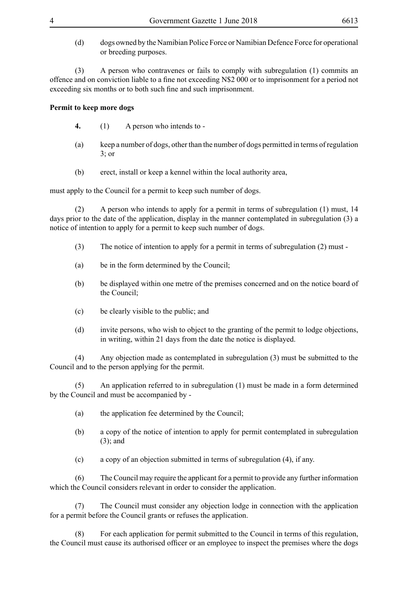- 
- (d) dogs owned by the Namibian Police Force or Namibian Defence Force for operational or breeding purposes.

(3) A person who contravenes or fails to comply with subregulation (1) commits an offence and on conviction liable to a fine not exceeding N\$2 000 or to imprisonment for a period not exceeding six months or to both such fine and such imprisonment.

# **Permit to keep more dogs**

- **4.** (1) A person who intends to -
- (a) keep a number of dogs, other than the number of dogs permitted in terms of regulation 3; or
- (b) erect, install or keep a kennel within the local authority area,

must apply to the Council for a permit to keep such number of dogs.

(2) A person who intends to apply for a permit in terms of subregulation (1) must, 14 days prior to the date of the application, display in the manner contemplated in subregulation (3) a notice of intention to apply for a permit to keep such number of dogs.

- (3) The notice of intention to apply for a permit in terms of subregulation (2) must -
- (a) be in the form determined by the Council;
- (b) be displayed within one metre of the premises concerned and on the notice board of the Council;
- (c) be clearly visible to the public; and
- (d) invite persons, who wish to object to the granting of the permit to lodge objections, in writing, within 21 days from the date the notice is displayed.

(4) Any objection made as contemplated in subregulation (3) must be submitted to the Council and to the person applying for the permit.

(5) An application referred to in subregulation (1) must be made in a form determined by the Council and must be accompanied by -

- (a) the application fee determined by the Council;
- (b) a copy of the notice of intention to apply for permit contemplated in subregulation (3); and
- (c) a copy of an objection submitted in terms of subregulation (4), if any.

(6) The Council may require the applicant for a permit to provide any further information which the Council considers relevant in order to consider the application.

(7) The Council must consider any objection lodge in connection with the application for a permit before the Council grants or refuses the application.

(8) For each application for permit submitted to the Council in terms of this regulation, the Council must cause its authorised officer or an employee to inspect the premises where the dogs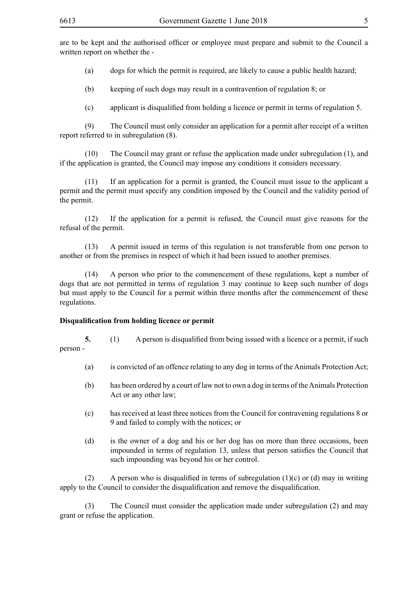are to be kept and the authorised officer or employee must prepare and submit to the Council a written report on whether the -

(a) dogs for which the permit is required, are likely to cause a public health hazard;

(b) keeping of such dogs may result in a contravention of regulation 8; or

(c) applicant is disqualified from holding a licence or permit in terms of regulation 5.

(9) The Council must only consider an application for a permit after receipt of a written report referred to in subregulation (8).

(10) The Council may grant or refuse the application made under subregulation (1), and if the application is granted, the Council may impose any conditions it considers necessary.

(11) If an application for a permit is granted, the Council must issue to the applicant a permit and the permit must specify any condition imposed by the Council and the validity period of the permit.

(12) If the application for a permit is refused, the Council must give reasons for the refusal of the permit.

(13) A permit issued in terms of this regulation is not transferable from one person to another or from the premises in respect of which it had been issued to another premises.

(14) A person who prior to the commencement of these regulations, kept a number of dogs that are not permitted in terms of regulation 3 may continue to keep such number of dogs but must apply to the Council for a permit within three months after the commencement of these regulations.

#### **Disqualification from holding licence or permit**

**5.** (1) A person is disqualified from being issued with a licence or a permit, if such

person -

- (a) is convicted of an offence relating to any dog in terms of the Animals Protection Act;
- (b) has been ordered by a court of law not to own a dog in terms of the Animals Protection Act or any other law;
- (c) has received at least three notices from the Council for contravening regulations 8 or 9 and failed to comply with the notices; or
- (d) is the owner of a dog and his or her dog has on more than three occasions, been impounded in terms of regulation 13, unless that person satisfies the Council that such impounding was beyond his or her control.

(2) A person who is disqualified in terms of subregulation (1)(c) or (d) may in writing apply to the Council to consider the disqualification and remove the disqualification.

(3) The Council must consider the application made under subregulation (2) and may grant or refuse the application.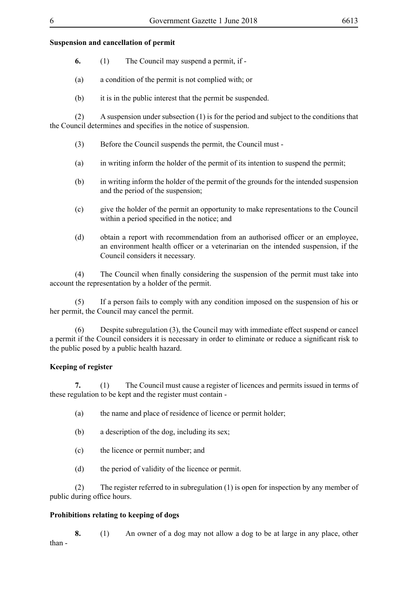# **Suspension and cancellation of permit**

- **6.** (1) The Council may suspend a permit, if -
- (a) a condition of the permit is not complied with; or
- (b) it is in the public interest that the permit be suspended.

(2) A suspension under subsection (1) is for the period and subject to the conditions that the Council determines and specifies in the notice of suspension.

- (3) Before the Council suspends the permit, the Council must -
- (a) in writing inform the holder of the permit of its intention to suspend the permit;
- (b) in writing inform the holder of the permit of the grounds for the intended suspension and the period of the suspension;
- (c) give the holder of the permit an opportunity to make representations to the Council within a period specified in the notice; and
- (d) obtain a report with recommendation from an authorised officer or an employee, an environment health officer or a veterinarian on the intended suspension, if the Council considers it necessary.

 (4) The Council when finally considering the suspension of the permit must take into account the representation by a holder of the permit.

(5) If a person fails to comply with any condition imposed on the suspension of his or her permit, the Council may cancel the permit.

(6) Despite subregulation (3), the Council may with immediate effect suspend or cancel a permit if the Council considers it is necessary in order to eliminate or reduce a significant risk to the public posed by a public health hazard.

# **Keeping of register**

**7.** (1) The Council must cause a register of licences and permits issued in terms of these regulation to be kept and the register must contain -

- (a) the name and place of residence of licence or permit holder;
- (b) a description of the dog, including its sex;
- (c) the licence or permit number; and
- (d) the period of validity of the licence or permit.

(2) The register referred to in subregulation (1) is open for inspection by any member of public during office hours.

# **Prohibitions relating to keeping of dogs**

**8.** (1) An owner of a dog may not allow a dog to be at large in any place, other than -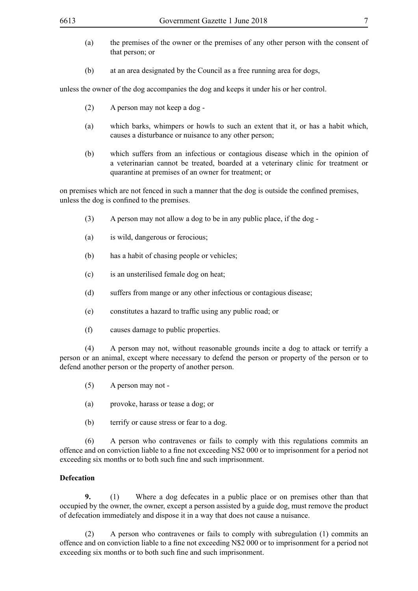- (a) the premises of the owner or the premises of any other person with the consent of that person; or
- (b) at an area designated by the Council as a free running area for dogs,

unless the owner of the dog accompanies the dog and keeps it under his or her control.

- (2) A person may not keep a dog -
- (a) which barks, whimpers or howls to such an extent that it, or has a habit which, causes a disturbance or nuisance to any other person;
- (b) which suffers from an infectious or contagious disease which in the opinion of a veterinarian cannot be treated, boarded at a veterinary clinic for treatment or quarantine at premises of an owner for treatment; or

on premises which are not fenced in such a manner that the dog is outside the confined premises, unless the dog is confined to the premises.

- (3) A person may not allow a dog to be in any public place, if the dog -
- (a) is wild, dangerous or ferocious;
- (b) has a habit of chasing people or vehicles;
- (c) is an unsterilised female dog on heat;
- (d) suffers from mange or any other infectious or contagious disease;
- (e) constitutes a hazard to traffic using any public road; or
- (f) causes damage to public properties.

(4) A person may not, without reasonable grounds incite a dog to attack or terrify a person or an animal, except where necessary to defend the person or property of the person or to defend another person or the property of another person.

- (5) A person may not -
- (a) provoke, harass or tease a dog; or
- (b) terrify or cause stress or fear to a dog.

(6) A person who contravenes or fails to comply with this regulations commits an offence and on conviction liable to a fine not exceeding N\$2 000 or to imprisonment for a period not exceeding six months or to both such fine and such imprisonment.

#### **Defecation**

**9.** (1) Where a dog defecates in a public place or on premises other than that occupied by the owner, the owner, except a person assisted by a guide dog, must remove the product of defecation immediately and dispose it in a way that does not cause a nuisance.

(2) A person who contravenes or fails to comply with subregulation (1) commits an offence and on conviction liable to a fine not exceeding N\$2 000 or to imprisonment for a period not exceeding six months or to both such fine and such imprisonment.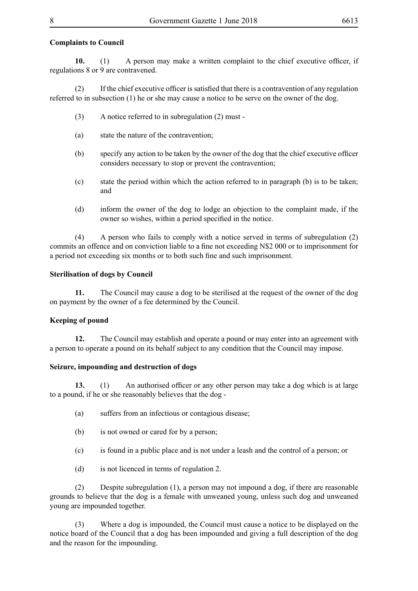# **Complaints to Council**

**10.** (1) A person may make a written complaint to the chief executive officer, if regulations 8 or 9 are contravened.

(2) If the chief executive officer is satisfied that there is a contravention of any regulation referred to in subsection (1) he or she may cause a notice to be serve on the owner of the dog.

- (3) A notice referred to in subregulation (2) must -
- (a) state the nature of the contravention;
- (b) specify any action to be taken by the owner of the dog that the chief executive officer considers necessary to stop or prevent the contravention;
- (c) state the period within which the action referred to in paragraph (b) is to be taken; and
- (d) inform the owner of the dog to lodge an objection to the complaint made, if the owner so wishes, within a period specified in the notice.

(4) A person who fails to comply with a notice served in terms of subregulation (2) commits an offence and on conviction liable to a fine not exceeding N\$2 000 or to imprisonment for a period not exceeding six months or to both such fine and such imprisonment.

# **Sterilisation of dogs by Council**

**11.** The Council may cause a dog to be sterilised at the request of the owner of the dog on payment by the owner of a fee determined by the Council.

# **Keeping of pound**

**12.** The Council may establish and operate a pound or may enter into an agreement with a person to operate a pound on its behalf subject to any condition that the Council may impose.

# **Seizure, impounding and destruction of dogs**

**13.** (1) An authorised officer or any other person may take a dog which is at large to a pound, if he or she reasonably believes that the dog -

- (a) suffers from an infectious or contagious disease;
- (b) is not owned or cared for by a person;
- (c) is found in a public place and is not under a leash and the control of a person; or
- (d) is not licenced in terms of regulation 2.

(2) Despite subregulation (1), a person may not impound a dog, if there are reasonable grounds to believe that the dog is a female with unweaned young, unless such dog and unweaned young are impounded together.

(3) Where a dog is impounded, the Council must cause a notice to be displayed on the notice board of the Council that a dog has been impounded and giving a full description of the dog and the reason for the impounding.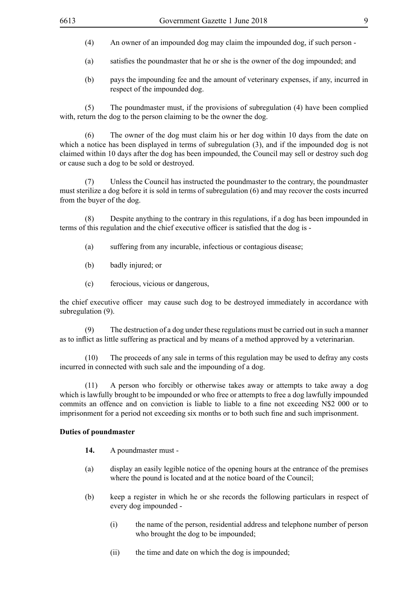- (4) An owner of an impounded dog may claim the impounded dog, if such person -
- (a) satisfies the poundmaster that he or she is the owner of the dog impounded; and
- (b) pays the impounding fee and the amount of veterinary expenses, if any, incurred in respect of the impounded dog.

(5) The poundmaster must, if the provisions of subregulation (4) have been complied with, return the dog to the person claiming to be the owner the dog.

(6) The owner of the dog must claim his or her dog within 10 days from the date on which a notice has been displayed in terms of subregulation (3), and if the impounded dog is not claimed within 10 days after the dog has been impounded, the Council may sell or destroy such dog or cause such a dog to be sold or destroyed.

(7) Unless the Council has instructed the poundmaster to the contrary, the poundmaster must sterilize a dog before it is sold in terms of subregulation (6) and may recover the costs incurred from the buyer of the dog.

(8) Despite anything to the contrary in this regulations, if a dog has been impounded in terms of this regulation and the chief executive officer is satisfied that the dog is -

- (a) suffering from any incurable, infectious or contagious disease;
- (b) badly injured; or
- (c) ferocious, vicious or dangerous,

the chief executive officer may cause such dog to be destroyed immediately in accordance with subregulation (9).

(9) The destruction of a dog under these regulations must be carried out in such a manner as to inflict as little suffering as practical and by means of a method approved by a veterinarian.

(10) The proceeds of any sale in terms of this regulation may be used to defray any costs incurred in connected with such sale and the impounding of a dog.

(11) A person who forcibly or otherwise takes away or attempts to take away a dog which is lawfully brought to be impounded or who free or attempts to free a dog lawfully impounded commits an offence and on conviction is liable to liable to a fine not exceeding N\$2 000 or to imprisonment for a period not exceeding six months or to both such fine and such imprisonment.

#### **Duties of poundmaster**

- **14.** A poundmaster must -
- (a) display an easily legible notice of the opening hours at the entrance of the premises where the pound is located and at the notice board of the Council;
- (b) keep a register in which he or she records the following particulars in respect of every dog impounded -
	- (i) the name of the person, residential address and telephone number of person who brought the dog to be impounded;
	- (ii) the time and date on which the dog is impounded;